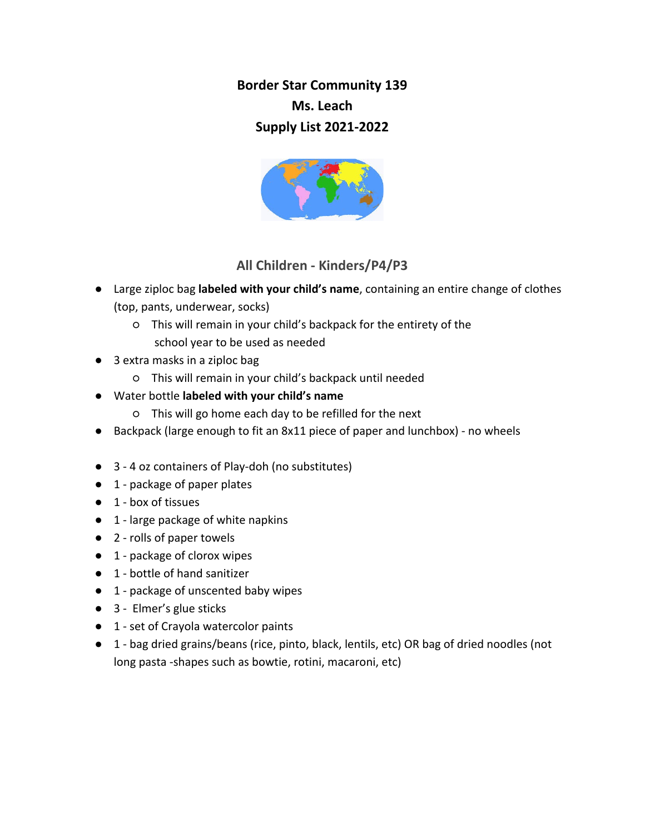**Border Star Community 139 Ms. Leach Supply List 2021-2022**



## **All Children - Kinders/P4/P3**

- Large ziploc bag **labeled with your child's name**, containing an entire change of clothes (top, pants, underwear, socks)
	- This will remain in your child's backpack for the entirety of the school year to be used as needed
- 3 extra masks in a ziploc bag
	- This will remain in your child's backpack until needed
- Water bottle **labeled with your child's name**
	- This will go home each day to be refilled for the next
- Backpack (large enough to fit an 8x11 piece of paper and lunchbox) no wheels
- 3 4 oz containers of Play-doh (no substitutes)
- 1 package of paper plates
- 1 box of tissues
- 1 large package of white napkins
- 2 rolls of paper towels
- 1 package of clorox wipes
- 1 bottle of hand sanitizer
- 1 package of unscented baby wipes
- 3 Elmer's glue sticks
- 1 set of Crayola watercolor paints
- 1 bag dried grains/beans (rice, pinto, black, lentils, etc) OR bag of dried noodles (not long pasta -shapes such as bowtie, rotini, macaroni, etc)